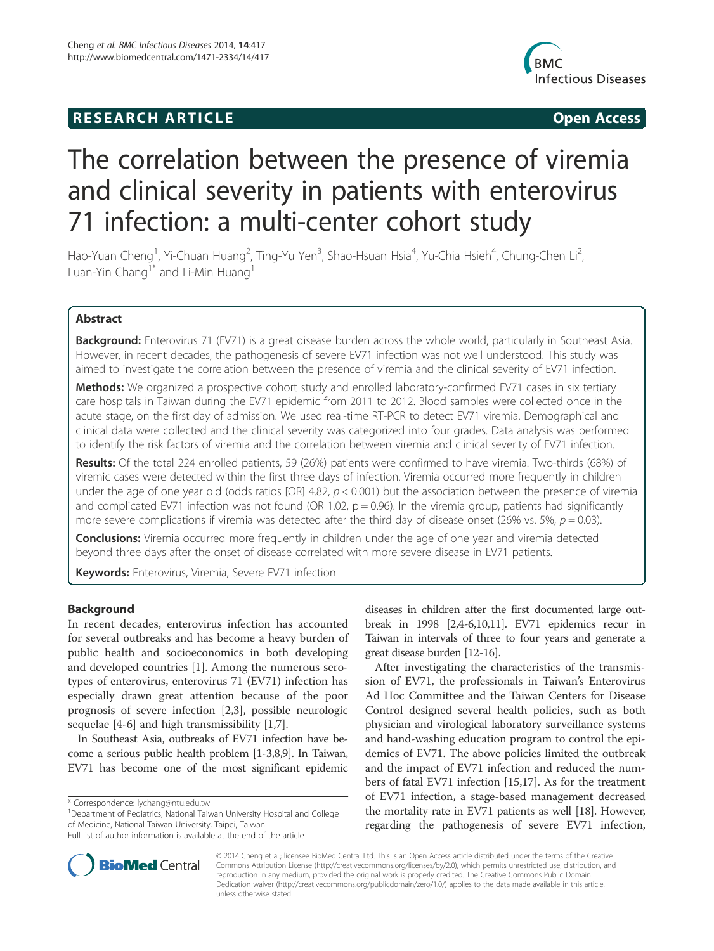# **RESEARCH ARTICLE Example 2018 12:00 Open Access**



# The correlation between the presence of viremia and clinical severity in patients with enterovirus 71 infection: a multi-center cohort study

Hao-Yuan Cheng<sup>1</sup>, Yi-Chuan Huang<sup>2</sup>, Ting-Yu Yen<sup>3</sup>, Shao-Hsuan Hsia<sup>4</sup>, Yu-Chia Hsieh<sup>4</sup>, Chung-Chen Li<sup>2</sup> , Luan-Yin Chang<sup>1\*</sup> and Li-Min Huang<sup>1</sup>

# Abstract

Background: Enterovirus 71 (EV71) is a great disease burden across the whole world, particularly in Southeast Asia. However, in recent decades, the pathogenesis of severe EV71 infection was not well understood. This study was aimed to investigate the correlation between the presence of viremia and the clinical severity of EV71 infection.

Methods: We organized a prospective cohort study and enrolled laboratory-confirmed EV71 cases in six tertiary care hospitals in Taiwan during the EV71 epidemic from 2011 to 2012. Blood samples were collected once in the acute stage, on the first day of admission. We used real-time RT-PCR to detect EV71 viremia. Demographical and clinical data were collected and the clinical severity was categorized into four grades. Data analysis was performed to identify the risk factors of viremia and the correlation between viremia and clinical severity of EV71 infection.

Results: Of the total 224 enrolled patients, 59 (26%) patients were confirmed to have viremia. Two-thirds (68%) of viremic cases were detected within the first three days of infection. Viremia occurred more frequently in children under the age of one year old (odds ratios [OR] 4.82,  $p < 0.001$ ) but the association between the presence of viremia and complicated EV71 infection was not found (OR 1.02,  $p = 0.96$ ). In the viremia group, patients had significantly more severe complications if viremia was detected after the third day of disease onset (26% vs. 5%,  $p = 0.03$ ).

**Conclusions:** Viremia occurred more frequently in children under the age of one year and viremia detected beyond three days after the onset of disease correlated with more severe disease in EV71 patients.

Keywords: Enterovirus, Viremia, Severe EV71 infection

# Background

In recent decades, enterovirus infection has accounted for several outbreaks and has become a heavy burden of public health and socioeconomics in both developing and developed countries [1]. Among the numerous serotypes of enterovirus, enterovirus 71 (EV71) infection has especially drawn great attention because of the poor prognosis of severe infection [2,3], possible neurologic sequelae [4-6] and high transmissibility [1,7].

In Southeast Asia, outbreaks of EV71 infection have become a serious public health problem [1-3,8,9]. In Taiwan, EV71 has become one of the most significant epidemic

<sup>1</sup>Department of Pediatrics, National Taiwan University Hospital and College of Medicine, National Taiwan University, Taipei, Taiwan



After investigating the characteristics of the transmission of EV71, the professionals in Taiwan's Enterovirus Ad Hoc Committee and the Taiwan Centers for Disease Control designed several health policies, such as both physician and virological laboratory surveillance systems and hand-washing education program to control the epidemics of EV71. The above policies limited the outbreak and the impact of EV71 infection and reduced the numbers of fatal EV71 infection [15,17]. As for the treatment of EV71 infection, a stage-based management decreased the mortality rate in EV71 patients as well [18]. However, regarding the pathogenesis of severe EV71 infection,



© 2014 Cheng et al.; licensee BioMed Central Ltd. This is an Open Access article distributed under the terms of the Creative Commons Attribution License (http://creativecommons.org/licenses/by/2.0), which permits unrestricted use, distribution, and reproduction in any medium, provided the original work is properly credited. The Creative Commons Public Domain Dedication waiver (http://creativecommons.org/publicdomain/zero/1.0/) applies to the data made available in this article, unless otherwise stated.

<sup>\*</sup> Correspondence: lychang@ntu.edu.tw <sup>1</sup>

Full list of author information is available at the end of the article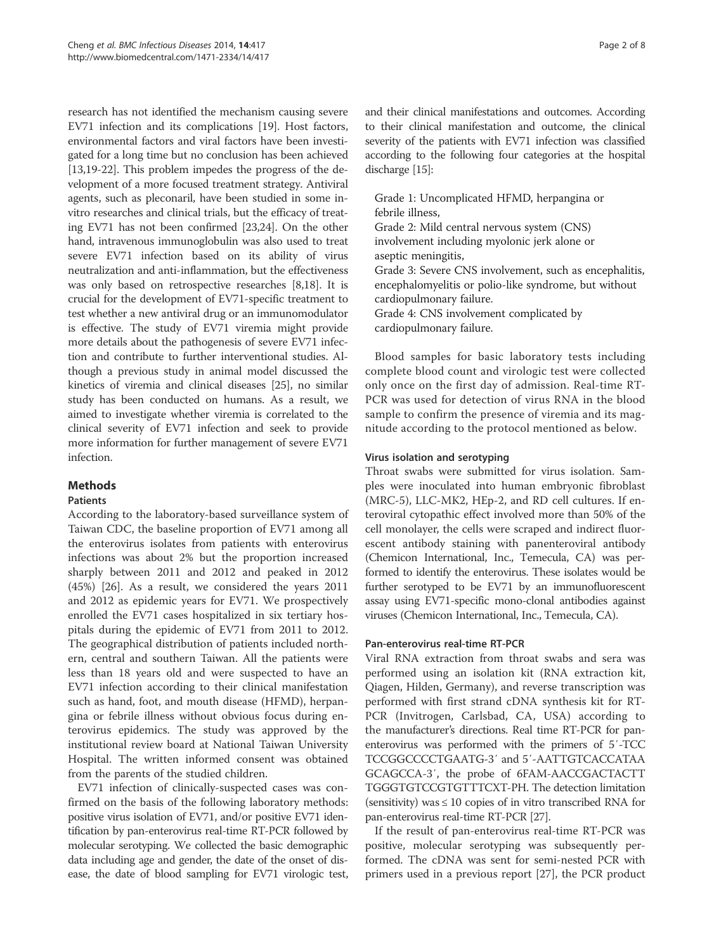research has not identified the mechanism causing severe EV71 infection and its complications [19]. Host factors, environmental factors and viral factors have been investigated for a long time but no conclusion has been achieved [13,19-22]. This problem impedes the progress of the development of a more focused treatment strategy. Antiviral agents, such as pleconaril, have been studied in some invitro researches and clinical trials, but the efficacy of treating EV71 has not been confirmed [23,24]. On the other hand, intravenous immunoglobulin was also used to treat severe EV71 infection based on its ability of virus neutralization and anti-inflammation, but the effectiveness was only based on retrospective researches [8,18]. It is crucial for the development of EV71-specific treatment to test whether a new antiviral drug or an immunomodulator is effective. The study of EV71 viremia might provide more details about the pathogenesis of severe EV71 infection and contribute to further interventional studies. Although a previous study in animal model discussed the kinetics of viremia and clinical diseases [25], no similar study has been conducted on humans. As a result, we aimed to investigate whether viremia is correlated to the clinical severity of EV71 infection and seek to provide more information for further management of severe EV71 infection.

# **Methods**

# **Patients**

According to the laboratory-based surveillance system of Taiwan CDC, the baseline proportion of EV71 among all the enterovirus isolates from patients with enterovirus infections was about 2% but the proportion increased sharply between 2011 and 2012 and peaked in 2012 (45%) [26]. As a result, we considered the years 2011 and 2012 as epidemic years for EV71. We prospectively enrolled the EV71 cases hospitalized in six tertiary hospitals during the epidemic of EV71 from 2011 to 2012. The geographical distribution of patients included northern, central and southern Taiwan. All the patients were less than 18 years old and were suspected to have an EV71 infection according to their clinical manifestation such as hand, foot, and mouth disease (HFMD), herpangina or febrile illness without obvious focus during enterovirus epidemics. The study was approved by the institutional review board at National Taiwan University Hospital. The written informed consent was obtained from the parents of the studied children.

EV71 infection of clinically-suspected cases was confirmed on the basis of the following laboratory methods: positive virus isolation of EV71, and/or positive EV71 identification by pan-enterovirus real-time RT-PCR followed by molecular serotyping. We collected the basic demographic data including age and gender, the date of the onset of disease, the date of blood sampling for EV71 virologic test,

and their clinical manifestations and outcomes. According to their clinical manifestation and outcome, the clinical severity of the patients with EV71 infection was classified according to the following four categories at the hospital discharge [15]:

Grade 1: Uncomplicated HFMD, herpangina or febrile illness, Grade 2: Mild central nervous system (CNS) involvement including myolonic jerk alone or aseptic meningitis, Grade 3: Severe CNS involvement, such as encephalitis, encephalomyelitis or polio-like syndrome, but without cardiopulmonary failure. Grade 4: CNS involvement complicated by cardiopulmonary failure.

Blood samples for basic laboratory tests including complete blood count and virologic test were collected only once on the first day of admission. Real-time RT-PCR was used for detection of virus RNA in the blood sample to confirm the presence of viremia and its magnitude according to the protocol mentioned as below.

# Virus isolation and serotyping

Throat swabs were submitted for virus isolation. Samples were inoculated into human embryonic fibroblast (MRC-5), LLC-MK2, HEp-2, and RD cell cultures. If enteroviral cytopathic effect involved more than 50% of the cell monolayer, the cells were scraped and indirect fluorescent antibody staining with panenteroviral antibody (Chemicon International, Inc., Temecula, CA) was performed to identify the enterovirus. These isolates would be further serotyped to be EV71 by an immunofluorescent assay using EV71-specific mono-clonal antibodies against viruses (Chemicon International, Inc., Temecula, CA).

#### Pan-enterovirus real-time RT-PCR

Viral RNA extraction from throat swabs and sera was performed using an isolation kit (RNA extraction kit, Qiagen, Hilden, Germany), and reverse transcription was performed with first strand cDNA synthesis kit for RT-PCR (Invitrogen, Carlsbad, CA, USA) according to the manufacturer's directions. Real time RT-PCR for panenterovirus was performed with the primers of 5′-TCC TCCGGCCCCTGAATG-3′ and 5′-AATTGTCACCATAA GCAGCCA-3′, the probe of 6FAM-AACCGACTACTT TGGGTGTCCGTGTTTCXT-PH. The detection limitation (sensitivity) was  $\leq 10$  copies of in vitro transcribed RNA for pan-enterovirus real-time RT-PCR [27].

If the result of pan-enterovirus real-time RT-PCR was positive, molecular serotyping was subsequently performed. The cDNA was sent for semi-nested PCR with primers used in a previous report [27], the PCR product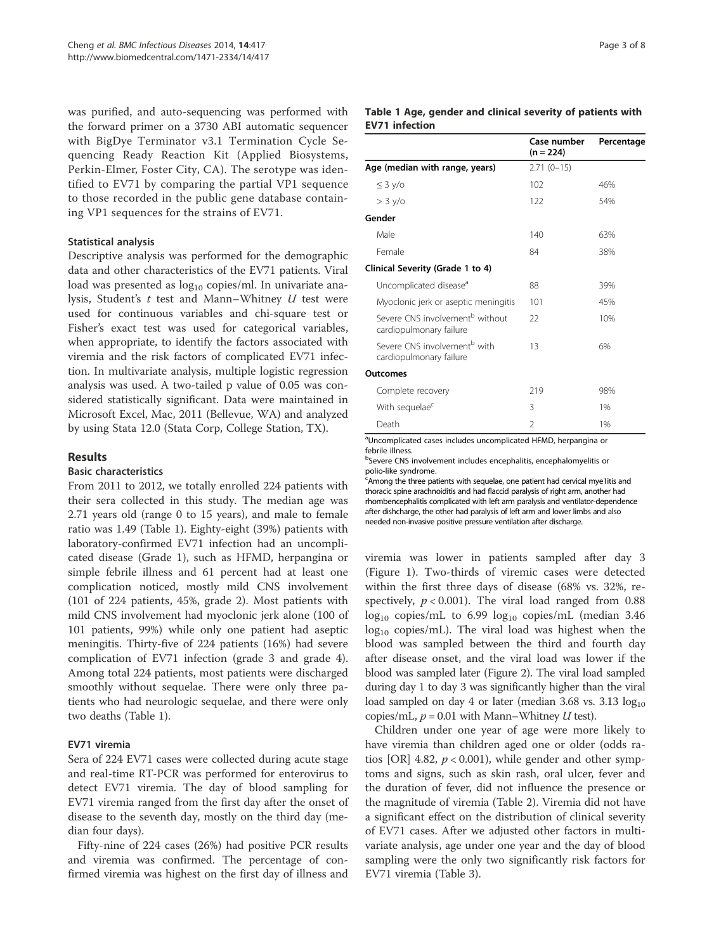was purified, and auto-sequencing was performed with the forward primer on a 3730 ABI automatic sequencer with BigDye Terminator v3.1 Termination Cycle Sequencing Ready Reaction Kit (Applied Biosystems, Perkin-Elmer, Foster City, CA). The serotype was identified to EV71 by comparing the partial VP1 sequence to those recorded in the public gene database containing VP1 sequences for the strains of EV71.

### Statistical analysis

Descriptive analysis was performed for the demographic data and other characteristics of the EV71 patients. Viral load was presented as  $log_{10}$  copies/ml. In univariate analysis, Student's  $t$  test and Mann–Whitney  $U$  test were used for continuous variables and chi-square test or Fisher's exact test was used for categorical variables, when appropriate, to identify the factors associated with viremia and the risk factors of complicated EV71 infection. In multivariate analysis, multiple logistic regression analysis was used. A two-tailed p value of 0.05 was considered statistically significant. Data were maintained in Microsoft Excel, Mac, 2011 (Bellevue, WA) and analyzed by using Stata 12.0 (Stata Corp, College Station, TX).

# Results

#### Basic characteristics

From 2011 to 2012, we totally enrolled 224 patients with their sera collected in this study. The median age was 2.71 years old (range 0 to 15 years), and male to female ratio was 1.49 (Table 1). Eighty-eight (39%) patients with laboratory-confirmed EV71 infection had an uncomplicated disease (Grade 1), such as HFMD, herpangina or simple febrile illness and 61 percent had at least one complication noticed, mostly mild CNS involvement (101 of 224 patients, 45%, grade 2). Most patients with mild CNS involvement had myoclonic jerk alone (100 of 101 patients, 99%) while only one patient had aseptic meningitis. Thirty-five of 224 patients (16%) had severe complication of EV71 infection (grade 3 and grade 4). Among total 224 patients, most patients were discharged smoothly without sequelae. There were only three patients who had neurologic sequelae, and there were only two deaths (Table 1).

# EV71 viremia

Sera of 224 EV71 cases were collected during acute stage and real-time RT-PCR was performed for enterovirus to detect EV71 viremia. The day of blood sampling for EV71 viremia ranged from the first day after the onset of disease to the seventh day, mostly on the third day (median four days).

Fifty-nine of 224 cases (26%) had positive PCR results and viremia was confirmed. The percentage of confirmed viremia was highest on the first day of illness and

#### Table 1 Age, gender and clinical severity of patients with EV71 infection

|                                                                        | Case number<br>$(n = 224)$ | Percentage |
|------------------------------------------------------------------------|----------------------------|------------|
| Age (median with range, years)                                         | $2.71(0-15)$               |            |
| $\leq$ 3 y/o                                                           | 102                        | 46%        |
| > 3 y/o                                                                | 122                        | 54%        |
| Gender                                                                 |                            |            |
| Male                                                                   | 140                        | 63%        |
| Female                                                                 | 84                         | 38%        |
| Clinical Severity (Grade 1 to 4)                                       |                            |            |
| Uncomplicated disease <sup>a</sup>                                     | 88                         | 39%        |
| Myoclonic jerk or aseptic meningitis                                   | 101                        | 45%        |
| Severe CNS involvement <sup>b</sup> without<br>cardiopulmonary failure | 22                         | 10%        |
| Severe CNS involvement <sup>b</sup> with<br>cardiopulmonary failure    | 13                         | 6%         |
| Outcomes                                                               |                            |            |
| Complete recovery                                                      | 219                        | 98%        |
| With sequelae <sup>c</sup>                                             | 3                          | 1%         |
| Death                                                                  | $\mathfrak{D}$             | 1%         |

<sup>a</sup>Uncomplicated cases includes uncomplicated HFMD, herpangina or febrile illness.

<sup>b</sup>Severe CNS involvement includes encephalitis, encephalomyelitis or polio-like syndrome.

<sup>c</sup> Among the three patients with sequelae, one patient had cervical mye1itis and thoracic spine arachnoiditis and had flaccid paralysis of right arm, another had rhombencephalitis complicated with left arm paralysis and ventilator-dependence after dishcharge, the other had paralysis of left arm and lower limbs and also needed non-invasive positive pressure ventilation after discharge.

viremia was lower in patients sampled after day 3 (Figure 1). Two-thirds of viremic cases were detected within the first three days of disease (68% vs. 32%, respectively,  $p < 0.001$ ). The viral load ranged from 0.88  $log_{10}$  copies/mL to 6.99  $log_{10}$  copies/mL (median 3.46  $log_{10}$  copies/mL). The viral load was highest when the blood was sampled between the third and fourth day after disease onset, and the viral load was lower if the blood was sampled later (Figure 2). The viral load sampled during day 1 to day 3 was significantly higher than the viral load sampled on day 4 or later (median 3.68 vs. 3.13  $log_{10}$ copies/mL,  $p = 0.01$  with Mann–Whitney U test).

Children under one year of age were more likely to have viremia than children aged one or older (odds ratios [OR] 4.82,  $p < 0.001$ ), while gender and other symptoms and signs, such as skin rash, oral ulcer, fever and the duration of fever, did not influence the presence or the magnitude of viremia (Table 2). Viremia did not have a significant effect on the distribution of clinical severity of EV71 cases. After we adjusted other factors in multivariate analysis, age under one year and the day of blood sampling were the only two significantly risk factors for EV71 viremia (Table 3).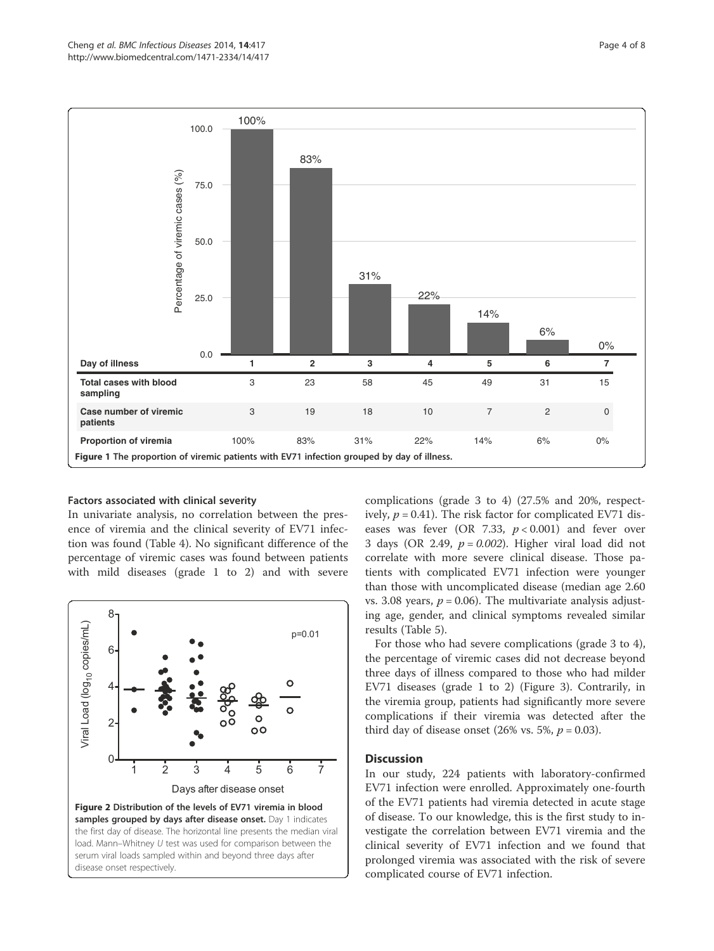

#### Factors associated with clinical severity

In univariate analysis, no correlation between the presence of viremia and the clinical severity of EV71 infection was found (Table 4). No significant difference of the percentage of viremic cases was found between patients with mild diseases (grade 1 to 2) and with severe



complications (grade 3 to 4) (27.5% and 20%, respectively,  $p = 0.41$ ). The risk factor for complicated EV71 diseases was fever (OR 7.33,  $p < 0.001$ ) and fever over 3 days (OR 2.49,  $p = 0.002$ ). Higher viral load did not correlate with more severe clinical disease. Those patients with complicated EV71 infection were younger than those with uncomplicated disease (median age 2.60 vs. 3.08 years,  $p = 0.06$ ). The multivariate analysis adjusting age, gender, and clinical symptoms revealed similar results (Table 5).

For those who had severe complications (grade 3 to 4), the percentage of viremic cases did not decrease beyond three days of illness compared to those who had milder EV71 diseases (grade 1 to 2) (Figure 3). Contrarily, in the viremia group, patients had significantly more severe complications if their viremia was detected after the third day of disease onset (26% vs. 5%,  $p = 0.03$ ).

#### Discussion

In our study, 224 patients with laboratory-confirmed EV71 infection were enrolled. Approximately one-fourth of the EV71 patients had viremia detected in acute stage of disease. To our knowledge, this is the first study to investigate the correlation between EV71 viremia and the clinical severity of EV71 infection and we found that prolonged viremia was associated with the risk of severe complicated course of EV71 infection.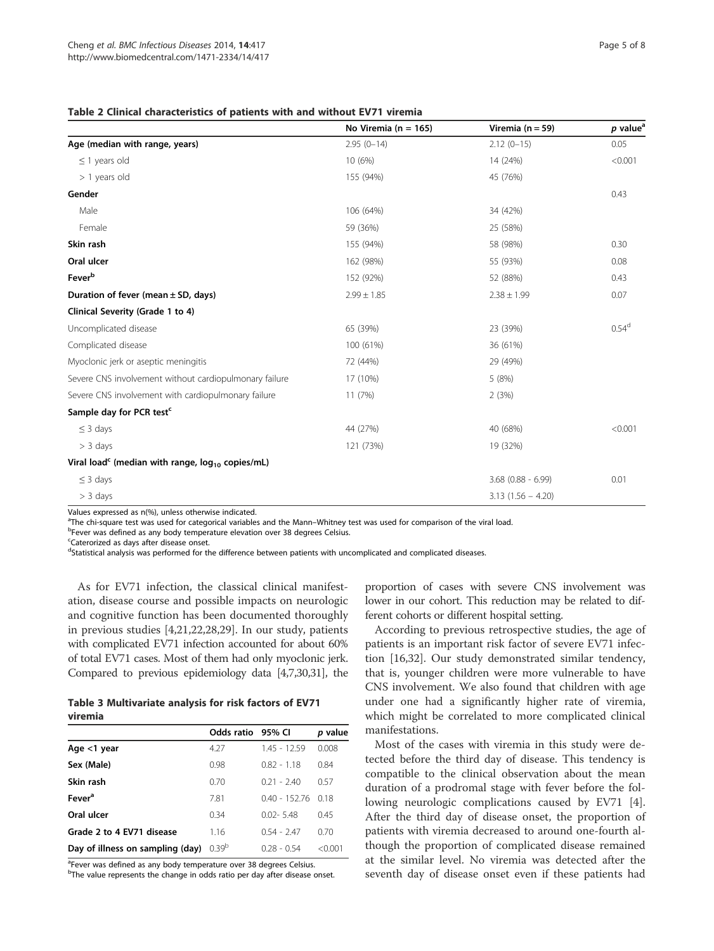Table 2 Clinical characteristics of patients with and without EV71 viremia

|                                                                   | No Viremia ( $n = 165$ ) | Viremia ( $n = 59$ ) | $p$ value <sup>a</sup> |
|-------------------------------------------------------------------|--------------------------|----------------------|------------------------|
| Age (median with range, years)                                    | $2.95(0-14)$             | $2.12(0-15)$         | 0.05                   |
| $\leq$ 1 years old                                                | 10 (6%)                  | 14 (24%)             | < 0.001                |
| $> 1$ years old                                                   | 155 (94%)                | 45 (76%)             |                        |
| Gender                                                            |                          |                      | 0.43                   |
| Male                                                              | 106 (64%)                | 34 (42%)             |                        |
| Female                                                            | 59 (36%)                 | 25 (58%)             |                        |
| Skin rash                                                         | 155 (94%)                | 58 (98%)             | 0.30                   |
| Oral ulcer                                                        | 162 (98%)                | 55 (93%)             | 0.08                   |
| Feverb                                                            | 152 (92%)                | 52 (88%)             | 0.43                   |
| Duration of fever (mean $\pm$ SD, days)                           | $2.99 \pm 1.85$          | $2.38 \pm 1.99$      | 0.07                   |
| Clinical Severity (Grade 1 to 4)                                  |                          |                      |                        |
| Uncomplicated disease                                             | 65 (39%)                 | 23 (39%)             | 0.54 <sup>d</sup>      |
| Complicated disease                                               | 100 (61%)                | 36 (61%)             |                        |
| Myoclonic jerk or aseptic meningitis                              | 72 (44%)                 | 29 (49%)             |                        |
| Severe CNS involvement without cardiopulmonary failure            | 17 (10%)                 | 5(8%)                |                        |
| Severe CNS involvement with cardiopulmonary failure               | 11 (7%)                  | 2(3%)                |                        |
| Sample day for PCR test <sup>c</sup>                              |                          |                      |                        |
| $\leq$ 3 days                                                     | 44 (27%)                 | 40 (68%)             | < 0.001                |
| $> 3$ days                                                        | 121 (73%)                | 19 (32%)             |                        |
| Viral load <sup>c</sup> (median with range, $log_{10}$ copies/mL) |                          |                      |                        |
| $\leq$ 3 days                                                     |                          | $3.68$ (0.88 - 6.99) | 0.01                   |
| $> 3$ days                                                        |                          | $3.13(1.56 - 4.20)$  |                        |

Values expressed as n(%), unless otherwise indicated.

The chi-square test was used for categorical variables and the Mann–Whitney test was used for comparison of the viral load.<br>PEover was defined as any body temperature elevation over 38 degrees Celsius

<sup>b</sup>Fever was defined as any body temperature elevation over 38 degrees Celsius.

<sup>c</sup>Caterorized as days after disease onset.

<sup>d</sup>Statistical analysis was performed for the difference between patients with uncomplicated and complicated diseases.

As for EV71 infection, the classical clinical manifestation, disease course and possible impacts on neurologic and cognitive function has been documented thoroughly in previous studies [4,21,22,28,29]. In our study, patients with complicated EV71 infection accounted for about 60% of total EV71 cases. Most of them had only myoclonic jerk. Compared to previous epidemiology data [4,7,30,31], the

| Table 3 Multivariate analysis for risk factors of EV71 |  |  |  |
|--------------------------------------------------------|--|--|--|
| viremia                                                |  |  |  |

|                                  | Odds ratio 95% CI |               | p value |
|----------------------------------|-------------------|---------------|---------|
| Age <1 year                      | 4.27              | 145 - 1259    | 0.008   |
| Sex (Male)                       | 0.98              | $082 - 118$   | 0.84    |
| Skin rash                        | 0.70              | $0.21 - 2.40$ | 0.57    |
| Fever <sup>a</sup>               | 7.81              | $040 - 15276$ | 0.18    |
| Oral ulcer                       | 0.34              | $0.02 - 5.48$ | 0.45    |
| Grade 2 to 4 EV71 disease        | 1.16              | $0.54 - 2.47$ | 0.70    |
| Day of illness on sampling (day) | 0.39 <sup>b</sup> | $0.28 - 0.54$ | < 0.001 |

<sup>a</sup>Fever was defined as any body temperature over 38 degrees Celsius.

<sup>b</sup>The value represents the change in odds ratio per day after disease onset.

proportion of cases with severe CNS involvement was lower in our cohort. This reduction may be related to different cohorts or different hospital setting.

According to previous retrospective studies, the age of patients is an important risk factor of severe EV71 infection [16,32]. Our study demonstrated similar tendency, that is, younger children were more vulnerable to have CNS involvement. We also found that children with age under one had a significantly higher rate of viremia, which might be correlated to more complicated clinical manifestations.

Most of the cases with viremia in this study were detected before the third day of disease. This tendency is compatible to the clinical observation about the mean duration of a prodromal stage with fever before the following neurologic complications caused by EV71 [4]. After the third day of disease onset, the proportion of patients with viremia decreased to around one-fourth although the proportion of complicated disease remained at the similar level. No viremia was detected after the seventh day of disease onset even if these patients had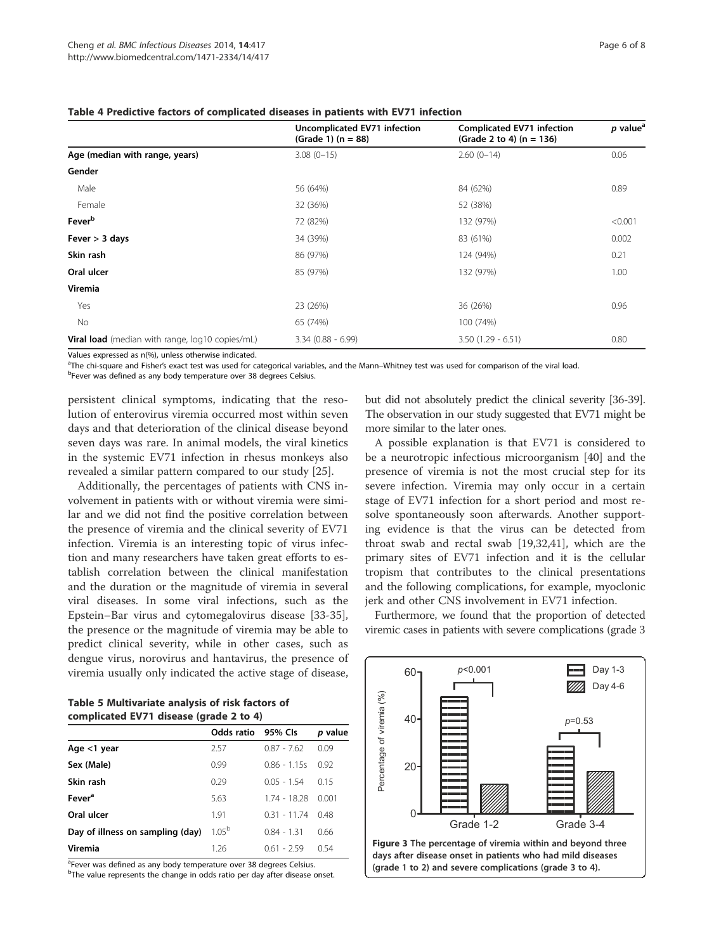|                                                 | Uncomplicated EV71 infection<br>(Grade 1) $(n = 88)$ | <b>Complicated EV71 infection</b><br>(Grade 2 to 4) $(n = 136)$ | $p$ value <sup>a</sup> |
|-------------------------------------------------|------------------------------------------------------|-----------------------------------------------------------------|------------------------|
| Age (median with range, years)                  | $3.08(0-15)$                                         | $2.60(0-14)$                                                    | 0.06                   |
| Gender                                          |                                                      |                                                                 |                        |
| Male                                            | 56 (64%)                                             | 84 (62%)                                                        | 0.89                   |
| Female                                          | 32 (36%)                                             | 52 (38%)                                                        |                        |
| Fever <sup>b</sup>                              | 72 (82%)                                             | 132 (97%)                                                       | < 0.001                |
| Fever $>$ 3 days                                | 34 (39%)                                             | 83 (61%)                                                        | 0.002                  |
| Skin rash                                       | 86 (97%)                                             | 124 (94%)                                                       | 0.21                   |
| Oral ulcer                                      | 85 (97%)                                             | 132 (97%)                                                       | 1.00                   |
| Viremia                                         |                                                      |                                                                 |                        |
| Yes                                             | 23 (26%)                                             | 36 (26%)                                                        | 0.96                   |
| No                                              | 65 (74%)                                             | 100 (74%)                                                       |                        |
| Viral load (median with range, log10 copies/mL) | $3.34(0.88 - 6.99)$                                  | $3.50(1.29 - 6.51)$                                             | 0.80                   |

#### Table 4 Predictive factors of complicated diseases in patients with EV71 infection

Values expressed as n(%), unless otherwise indicated.

<sup>a</sup>The chi-square and Fisher's exact test was used for categorical variables, and the Mann–Whitney test was used for comparison of the viral load.<br>PEover was defined as any body temperature over 38 degrees Celsius. <sup>b</sup>Fever was defined as any body temperature over 38 degrees Celsius.

persistent clinical symptoms, indicating that the resolution of enterovirus viremia occurred most within seven days and that deterioration of the clinical disease beyond seven days was rare. In animal models, the viral kinetics

in the systemic EV71 infection in rhesus monkeys also revealed a similar pattern compared to our study [25]. Additionally, the percentages of patients with CNS involvement in patients with or without viremia were similar and we did not find the positive correlation between the presence of viremia and the clinical severity of EV71 infection. Viremia is an interesting topic of virus infection and many researchers have taken great efforts to establish correlation between the clinical manifestation and the duration or the magnitude of viremia in several viral diseases. In some viral infections, such as the Epstein–Bar virus and cytomegalovirus disease [33-35], the presence or the magnitude of viremia may be able to predict clinical severity, while in other cases, such as dengue virus, norovirus and hantavirus, the presence of viremia usually only indicated the active stage of disease,

| Table 5 Multivariate analysis of risk factors of |  |
|--------------------------------------------------|--|
| complicated EV71 disease (grade 2 to 4)          |  |

| Odds ratio |                | p value |
|------------|----------------|---------|
| 2.57       | $0.87 - 7.62$  | 0.09    |
| 0.99       | $0.86 - 1.15s$ | 0.92    |
| 0.29       | $0.05 - 1.54$  | 015     |
| 5.63       | $1.74 - 18.28$ | 0.001   |
| 1.91       | $0.31 - 11.74$ | 0.48    |
| $1.05^{b}$ | $0.84 - 1.31$  | 0.66    |
| 1.26       | $0.61 - 2.59$  | 0.54    |
|            |                | 95% Cls |

<sup>a</sup>Fever was defined as any body temperature over 38 degrees Celsius.

<sup>b</sup>The value represents the change in odds ratio per day after disease onset.

but did not absolutely predict the clinical severity [36-39]. The observation in our study suggested that EV71 might be more similar to the later ones.

A possible explanation is that EV71 is considered to be a neurotropic infectious microorganism [40] and the presence of viremia is not the most crucial step for its severe infection. Viremia may only occur in a certain stage of EV71 infection for a short period and most resolve spontaneously soon afterwards. Another supporting evidence is that the virus can be detected from throat swab and rectal swab [19,32,41], which are the primary sites of EV71 infection and it is the cellular tropism that contributes to the clinical presentations and the following complications, for example, myoclonic jerk and other CNS involvement in EV71 infection.

Furthermore, we found that the proportion of detected viremic cases in patients with severe complications (grade 3

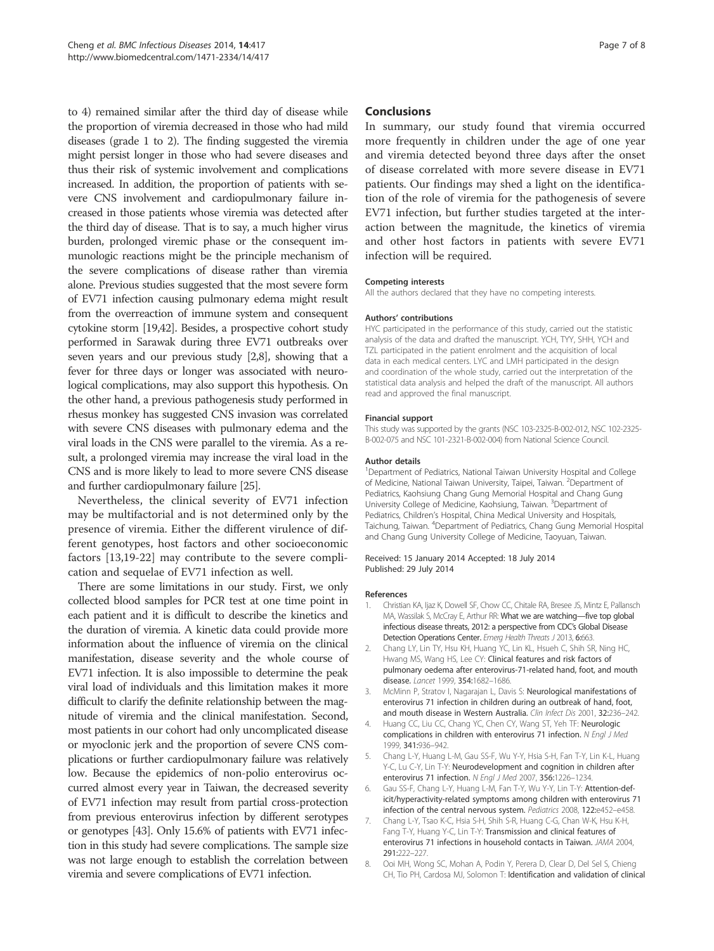to 4) remained similar after the third day of disease while the proportion of viremia decreased in those who had mild diseases (grade 1 to 2). The finding suggested the viremia might persist longer in those who had severe diseases and thus their risk of systemic involvement and complications increased. In addition, the proportion of patients with severe CNS involvement and cardiopulmonary failure increased in those patients whose viremia was detected after the third day of disease. That is to say, a much higher virus burden, prolonged viremic phase or the consequent immunologic reactions might be the principle mechanism of the severe complications of disease rather than viremia alone. Previous studies suggested that the most severe form of EV71 infection causing pulmonary edema might result from the overreaction of immune system and consequent cytokine storm [19,42]. Besides, a prospective cohort study performed in Sarawak during three EV71 outbreaks over seven years and our previous study [2,8], showing that a fever for three days or longer was associated with neurological complications, may also support this hypothesis. On the other hand, a previous pathogenesis study performed in rhesus monkey has suggested CNS invasion was correlated with severe CNS diseases with pulmonary edema and the viral loads in the CNS were parallel to the viremia. As a result, a prolonged viremia may increase the viral load in the CNS and is more likely to lead to more severe CNS disease and further cardiopulmonary failure [25].

Nevertheless, the clinical severity of EV71 infection may be multifactorial and is not determined only by the presence of viremia. Either the different virulence of different genotypes, host factors and other socioeconomic factors [13,19-22] may contribute to the severe complication and sequelae of EV71 infection as well.

There are some limitations in our study. First, we only collected blood samples for PCR test at one time point in each patient and it is difficult to describe the kinetics and the duration of viremia. A kinetic data could provide more information about the influence of viremia on the clinical manifestation, disease severity and the whole course of EV71 infection. It is also impossible to determine the peak viral load of individuals and this limitation makes it more difficult to clarify the definite relationship between the magnitude of viremia and the clinical manifestation. Second, most patients in our cohort had only uncomplicated disease or myoclonic jerk and the proportion of severe CNS complications or further cardiopulmonary failure was relatively low. Because the epidemics of non-polio enterovirus occurred almost every year in Taiwan, the decreased severity of EV71 infection may result from partial cross-protection from previous enterovirus infection by different serotypes or genotypes [43]. Only 15.6% of patients with EV71 infection in this study had severe complications. The sample size was not large enough to establish the correlation between viremia and severe complications of EV71 infection.

### Conclusions

In summary, our study found that viremia occurred more frequently in children under the age of one year and viremia detected beyond three days after the onset of disease correlated with more severe disease in EV71 patients. Our findings may shed a light on the identification of the role of viremia for the pathogenesis of severe EV71 infection, but further studies targeted at the interaction between the magnitude, the kinetics of viremia and other host factors in patients with severe EV71 infection will be required.

#### Competing interests

All the authors declared that they have no competing interests.

#### Authors' contributions

HYC participated in the performance of this study, carried out the statistic analysis of the data and drafted the manuscript. YCH, TYY, SHH, YCH and TZL participated in the patient enrolment and the acquisition of local data in each medical centers. LYC and LMH participated in the design and coordination of the whole study, carried out the interpretation of the statistical data analysis and helped the draft of the manuscript. All authors read and approved the final manuscript.

#### Financial support

This study was supported by the grants (NSC 103-2325-B-002-012, NSC 102-2325- B-002-075 and NSC 101-2321-B-002-004) from National Science Council.

#### Author details

<sup>1</sup>Department of Pediatrics, National Taiwan University Hospital and College of Medicine, National Taiwan University, Taipei, Taiwan. <sup>2</sup>Department of Pediatrics, Kaohsiung Chang Gung Memorial Hospital and Chang Gung University College of Medicine, Kaohsiung, Taiwan. <sup>3</sup>Department of Pediatrics, Children's Hospital, China Medical University and Hospitals, Taichung, Taiwan. <sup>4</sup>Department of Pediatrics, Chang Gung Memorial Hospital and Chang Gung University College of Medicine, Taoyuan, Taiwan.

#### Received: 15 January 2014 Accepted: 18 July 2014 Published: 29 July 2014

#### References

- 1. Christian KA, Ijaz K, Dowell SF, Chow CC, Chitale RA, Bresee JS, Mintz E, Pallansch MA, Wassilak S, McCray E, Arthur RR: What we are watching—five top global infectious disease threats, 2012: a perspective from CDC's Global Disease Detection Operations Center. Emerg Health Threats J 2013, 6:663.
- 2. Chang LY, Lin TY, Hsu KH, Huang YC, Lin KL, Hsueh C, Shih SR, Ning HC, Hwang MS, Wang HS, Lee CY: Clinical features and risk factors of pulmonary oedema after enterovirus-71-related hand, foot, and mouth disease. Lancet 1999, 354:1682–1686.
- 3. McMinn P, Stratov I, Nagarajan L, Davis S: Neurological manifestations of enterovirus 71 infection in children during an outbreak of hand, foot, and mouth disease in Western Australia. Clin Infect Dis 2001, 32:236-242.
- 4. Huang CC, Liu CC, Chang YC, Chen CY, Wang ST, Yeh TF: Neurologic complications in children with enterovirus 71 infection. N Engl J Med 1999, 341:936–942.
- 5. Chang L-Y, Huang L-M, Gau SS-F, Wu Y-Y, Hsia S-H, Fan T-Y, Lin K-L, Huang Y-C, Lu C-Y, Lin T-Y: Neurodevelopment and cognition in children after enterovirus 71 infection. N Engl J Med 2007, 356:1226–1234.
- Gau SS-F, Chang L-Y, Huang L-M, Fan T-Y, Wu Y-Y, Lin T-Y: Attention-deficit/hyperactivity-related symptoms among children with enterovirus 71 infection of the central nervous system. Pediatrics 2008, 122:e452–e458.
- 7. Chang L-Y, Tsao K-C, Hsia S-H, Shih S-R, Huang C-G, Chan W-K, Hsu K-H, Fang T-Y, Huang Y-C, Lin T-Y: Transmission and clinical features of enterovirus 71 infections in household contacts in Taiwan. JAMA 2004, 291:222–227.
- 8. Ooi MH, Wong SC, Mohan A, Podin Y, Perera D, Clear D, Del Sel S, Chieng CH, Tio PH, Cardosa MJ, Solomon T: Identification and validation of clinical